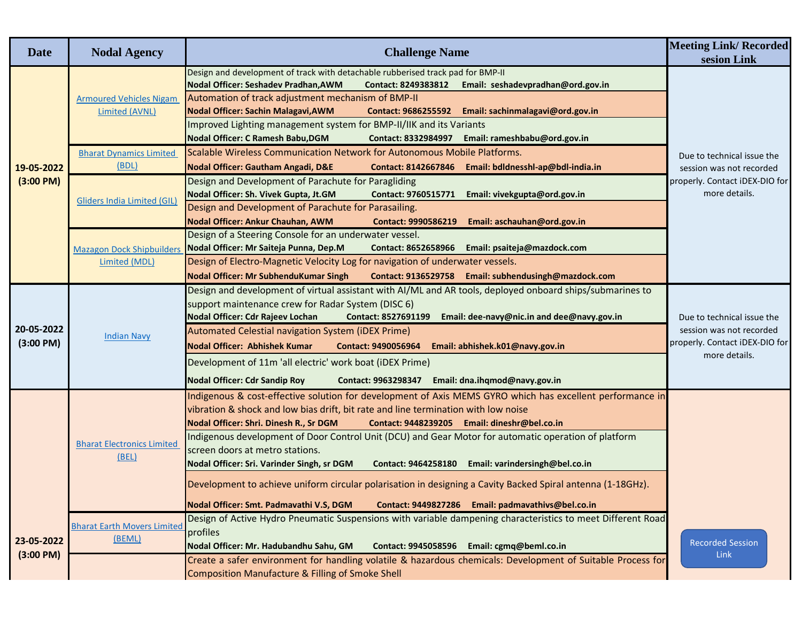| sesion Link<br>Design and development of track with detachable rubberised track pad for BMP-II<br>Nodal Officer: Seshadev Pradhan, AWM<br>Contact: 8249383812<br>Email: seshadevpradhan@ord.gov.in<br>Automation of track adjustment mechanism of BMP-II<br><b>Armoured Vehicles Nigam</b><br>Nodal Officer: Sachin Malagavi, AWM<br>Contact: 9686255592 Email: sachinmalagavi@ord.gov.in<br>Limited (AVNL)<br>Improved Lighting management system for BMP-II/IIK and its Variants<br>Nodal Officer: C Ramesh Babu, DGM<br>Contact: 8332984997    Email: rameshbabu@ord.gov.in<br>Scalable Wireless Communication Network for Autonomous Mobile Platforms.<br><b>Bharat Dynamics Limited</b><br>Due to technical issue the<br>(BDL)<br>Nodal Officer: Gautham Angadi, D&E<br>Contact: 8142667846 Email: bdldnesshl-ap@bdl-india.in<br>19-05-2022<br>session was not recorded<br>Design and Development of Parachute for Paragliding<br>(3:00 P M)<br>properly. Contact iDEX-DIO for<br>more details.<br>Nodal Officer: Sh. Vivek Gupta, Jt.GM<br>Email: vivekgupta@ord.gov.in<br>Contact: 9760515771<br>Gliders India Limited (GIL)<br>Design and Development of Parachute for Parasailing. |  |
|---------------------------------------------------------------------------------------------------------------------------------------------------------------------------------------------------------------------------------------------------------------------------------------------------------------------------------------------------------------------------------------------------------------------------------------------------------------------------------------------------------------------------------------------------------------------------------------------------------------------------------------------------------------------------------------------------------------------------------------------------------------------------------------------------------------------------------------------------------------------------------------------------------------------------------------------------------------------------------------------------------------------------------------------------------------------------------------------------------------------------------------------------------------------------------------------|--|
|                                                                                                                                                                                                                                                                                                                                                                                                                                                                                                                                                                                                                                                                                                                                                                                                                                                                                                                                                                                                                                                                                                                                                                                             |  |
|                                                                                                                                                                                                                                                                                                                                                                                                                                                                                                                                                                                                                                                                                                                                                                                                                                                                                                                                                                                                                                                                                                                                                                                             |  |
| Nodal Officer: Ankur Chauhan, AWM<br>Email: aschauhan@ord.gov.in<br><b>Contact: 9990586219</b>                                                                                                                                                                                                                                                                                                                                                                                                                                                                                                                                                                                                                                                                                                                                                                                                                                                                                                                                                                                                                                                                                              |  |
| Design of a Steering Console for an underwater vessel.<br>Nodal Officer: Mr Saiteja Punna, Dep.M<br>Contact: 8652658966 Email: psaiteja@mazdock.com<br><b>Mazagon Dock Shipbuilders</b><br>Design of Electro-Magnetic Velocity Log for navigation of underwater vessels.<br>Limited (MDL)<br>Nodal Officer: Mr SubhenduKumar Singh<br>Contact: 9136529758 Email: subhendusingh@mazdock.com                                                                                                                                                                                                                                                                                                                                                                                                                                                                                                                                                                                                                                                                                                                                                                                                  |  |
| Design and development of virtual assistant with AI/ML and AR tools, deployed onboard ships/submarines to<br>support maintenance crew for Radar System (DISC 6)<br>Nodal Officer: Cdr Rajeev Lochan<br>Email: dee-navy@nic.in and dee@navy.gov.in<br>Contact: 8527691199<br>Due to technical issue the<br>20-05-2022<br>session was not recorded<br>Automated Celestial navigation System (iDEX Prime)<br><b>Indian Navy</b><br>(3:00 P M)<br>properly. Contact iDEX-DIO for<br><b>Nodal Officer: Abhishek Kumar</b><br>Email: abhishek.k01@navy.gov.in<br>Contact: 9490056964<br>more details.<br>Development of 11m 'all electric' work boat (iDEX Prime)<br><b>Nodal Officer: Cdr Sandip Roy</b><br>Contact: 9963298347 Email: dna.ihqmod@navy.gov.in                                                                                                                                                                                                                                                                                                                                                                                                                                    |  |
| Indigenous & cost-effective solution for development of Axis MEMS GYRO which has excellent performance in<br>vibration & shock and low bias drift, bit rate and line termination with low noise<br>Nodal Officer: Shri. Dinesh R., Sr DGM<br>Contact: 9448239205 Email: dineshr@bel.co.in<br>Indigenous development of Door Control Unit (DCU) and Gear Motor for automatic operation of platform<br><b>Bharat Electronics Limited</b><br>screen doors at metro stations.<br>(BEL)<br>Nodal Officer: Sri. Varinder Singh, sr DGM<br>Contact: 9464258180 Email: varindersingh@bel.co.in<br>Development to achieve uniform circular polarisation in designing a Cavity Backed Spiral antenna (1-18GHz).<br>Nodal Officer: Smt. Padmavathi V.S, DGM<br>Contact: 9449827286 Email: padmavathivs@bel.co.in                                                                                                                                                                                                                                                                                                                                                                                       |  |
| Design of Active Hydro Pneumatic Suspensions with variable dampening characteristics to meet Different Road<br><b>Bharat Earth Movers Limited</b><br>profiles<br>(BEML)<br>23-05-2022<br><b>Recorded Session</b><br>Contact: 9945058596 Email: cgmq@beml.co.in<br>Nodal Officer: Mr. Hadubandhu Sahu, GM<br>(3:00 P M)<br>Link<br>Create a safer environment for handling volatile & hazardous chemicals: Development of Suitable Process for<br><b>Composition Manufacture &amp; Filling of Smoke Shell</b>                                                                                                                                                                                                                                                                                                                                                                                                                                                                                                                                                                                                                                                                                |  |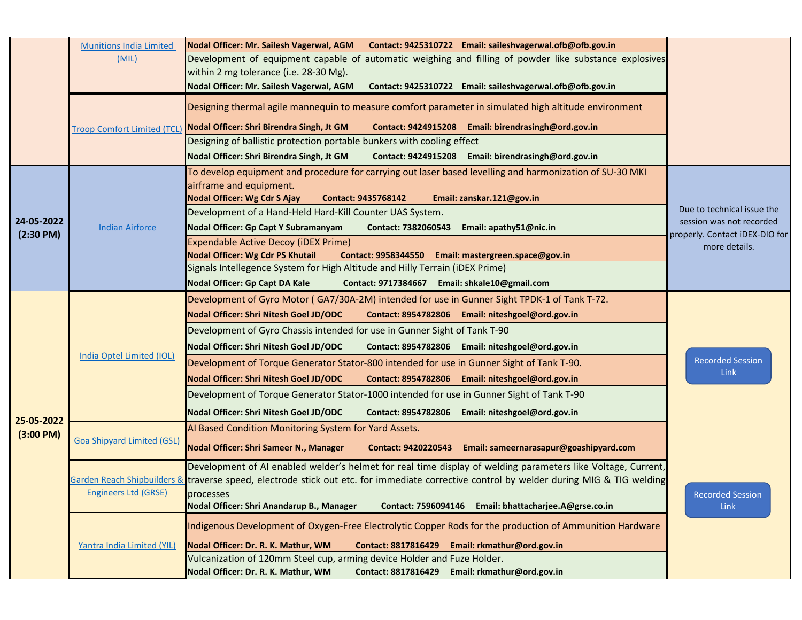|                          | <b>Munitions India Limited</b>     | Nodal Officer: Mr. Sailesh Vagerwal, AGM Contact: 9425310722 Email: saileshvagerwal.ofb@ofb.gov.in                                                                                         |                                                            |
|--------------------------|------------------------------------|--------------------------------------------------------------------------------------------------------------------------------------------------------------------------------------------|------------------------------------------------------------|
|                          | (MIL)                              | Development of equipment capable of automatic weighing and filling of powder like substance explosives                                                                                     |                                                            |
|                          |                                    | within 2 mg tolerance (i.e. 28-30 Mg).<br>Nodal Officer: Mr. Sailesh Vagerwal, AGM<br>Contact: 9425310722 Email: saileshvagerwal.ofb@ofb.gov.in                                            |                                                            |
|                          |                                    |                                                                                                                                                                                            |                                                            |
|                          |                                    | Designing thermal agile mannequin to measure comfort parameter in simulated high altitude environment                                                                                      |                                                            |
|                          | <b>Troop Comfort Limited (TCL)</b> | Nodal Officer: Shri Birendra Singh, Jt GM<br>Contact: 9424915208 Email: birendrasingh@ord.gov.in                                                                                           |                                                            |
|                          |                                    | Designing of ballistic protection portable bunkers with cooling effect                                                                                                                     |                                                            |
|                          |                                    | Nodal Officer: Shri Birendra Singh, Jt GM<br>Contact: 9424915208 Email: birendrasingh@ord.gov.in                                                                                           |                                                            |
|                          |                                    | To develop equipment and procedure for carrying out laser based levelling and harmonization of SU-30 MKI<br>airframe and equipment.                                                        |                                                            |
|                          |                                    | Nodal Officer: Wg Cdr S Ajay<br><b>Contact: 9435768142</b><br>Email: zanskar.121@gov.in                                                                                                    |                                                            |
|                          |                                    | Development of a Hand-Held Hard-Kill Counter UAS System.                                                                                                                                   | Due to technical issue the                                 |
| 24-05-2022               | <b>Indian Airforce</b>             | Nodal Officer: Gp Capt Y Subramanyam<br>Contact: 7382060543 Email: apathy51@nic.in                                                                                                         | session was not recorded<br>properly. Contact iDEX-DIO for |
| $(2:30 \text{ PM})$      |                                    | Expendable Active Decoy (iDEX Prime)                                                                                                                                                       | more details.                                              |
|                          |                                    | <b>Nodal Officer: Wg Cdr PS Khutail</b><br>Contact: 9958344550 Email: mastergreen.space@gov.in                                                                                             |                                                            |
|                          |                                    | Signals Intellegence System for High Altitude and Hilly Terrain (iDEX Prime)<br>Nodal Officer: Gp Capt DA Kale                                                                             |                                                            |
|                          |                                    | Contact: 9717384667 Email: shkale10@gmail.com                                                                                                                                              |                                                            |
|                          |                                    | Development of Gyro Motor (GA7/30A-2M) intended for use in Gunner Sight TPDK-1 of Tank T-72.<br>Nodal Officer: Shri Nitesh Goel JD/ODC<br>Contact: 8954782806 Email: niteshgoel@ord.gov.in |                                                            |
|                          |                                    | Development of Gyro Chassis intended for use in Gunner Sight of Tank T-90                                                                                                                  |                                                            |
|                          | <b>India Optel Limited (IOL)</b>   | Nodal Officer: Shri Nitesh Goel JD/ODC<br>Contact: 8954782806 Email: niteshgoel@ord.gov.in                                                                                                 |                                                            |
|                          |                                    | Development of Torque Generator Stator-800 intended for use in Gunner Sight of Tank T-90.                                                                                                  | <b>Recorded Session</b>                                    |
| 25-05-2022<br>(3:00 P M) |                                    | Nodal Officer: Shri Nitesh Goel JD/ODC<br>Contact: 8954782806 Email: niteshgoel@ord.gov.in                                                                                                 | <b>Link</b>                                                |
|                          |                                    | Development of Torque Generator Stator-1000 intended for use in Gunner Sight of Tank T-90                                                                                                  |                                                            |
|                          |                                    | Nodal Officer: Shri Nitesh Goel JD/ODC<br>Contact: 8954782806 Email: niteshgoel@ord.gov.in                                                                                                 |                                                            |
|                          |                                    | AI Based Condition Monitoring System for Yard Assets.                                                                                                                                      |                                                            |
|                          | <b>Goa Shipyard Limited (GSL)</b>  | Nodal Officer: Shri Sameer N., Manager<br>Contact: 9420220543 Email: sameernarasapur@goashipyard.com                                                                                       |                                                            |
|                          |                                    |                                                                                                                                                                                            |                                                            |
|                          |                                    | Development of AI enabled welder's helmet for real time display of welding parameters like Voltage, Current,                                                                               |                                                            |
|                          | <b>Engineers Ltd (GRSE)</b>        | Garden Reach Shipbuilders & traverse speed, electrode stick out etc. for immediate corrective control by welder during MIG & TIG welding<br>processes                                      | <b>Recorded Session</b>                                    |
|                          |                                    | Nodal Officer: Shri Anandarup B., Manager<br>Contact: 7596094146 Email: bhattacharjee.A@grse.co.in                                                                                         | <b>Link</b>                                                |
|                          |                                    | Indigenous Development of Oxygen-Free Electrolytic Copper Rods for the production of Ammunition Hardware                                                                                   |                                                            |
|                          |                                    |                                                                                                                                                                                            |                                                            |
|                          | Yantra India Limited (YIL)         | Nodal Officer: Dr. R. K. Mathur, WM<br><b>Contact: 8817816429</b><br>Email: rkmathur@ord.gov.in<br>Vulcanization of 120mm Steel cup, arming device Holder and Fuze Holder.                 |                                                            |
|                          |                                    | Nodal Officer: Dr. R. K. Mathur, WM<br>Contact: 8817816429 Email: rkmathur@ord.gov.in                                                                                                      |                                                            |